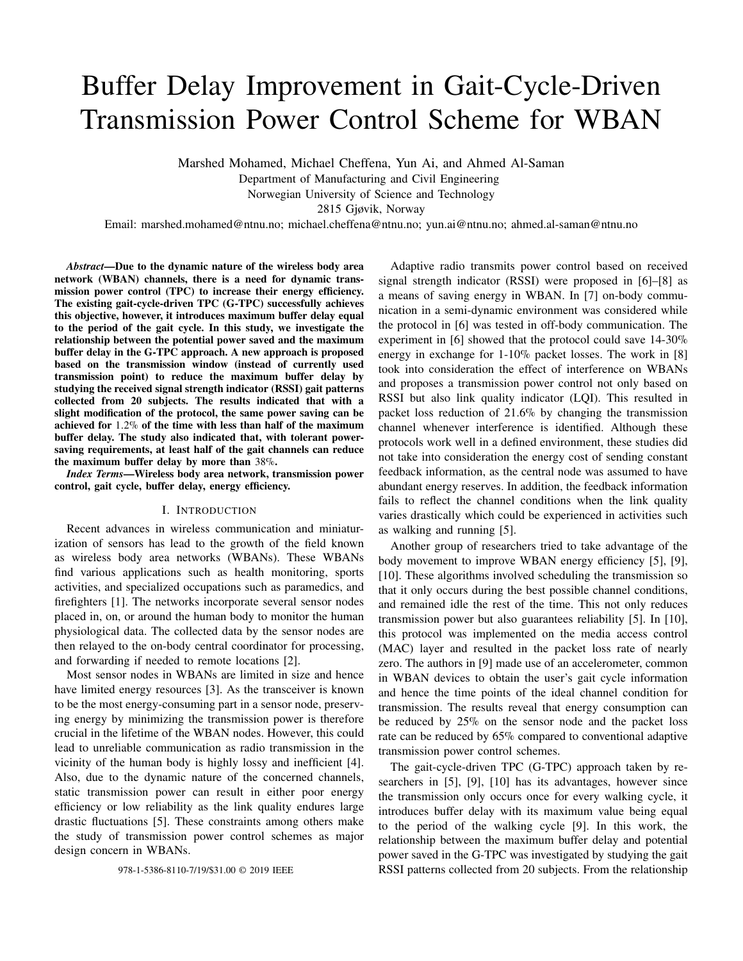# Buffer Delay Improvement in Gait-Cycle-Driven Transmission Power Control Scheme for WBAN

Marshed Mohamed, Michael Cheffena, Yun Ai, and Ahmed Al-Saman Department of Manufacturing and Civil Engineering Norwegian University of Science and Technology 2815 Gjøvik, Norway

Email: marshed.mohamed@ntnu.no; michael.cheffena@ntnu.no; yun.ai@ntnu.no; ahmed.al-saman@ntnu.no

*Abstract*—Due to the dynamic nature of the wireless body area network (WBAN) channels, there is a need for dynamic transmission power control (TPC) to increase their energy efficiency. The existing gait-cycle-driven TPC (G-TPC) successfully achieves this objective, however, it introduces maximum buffer delay equal to the period of the gait cycle. In this study, we investigate the relationship between the potential power saved and the maximum buffer delay in the G-TPC approach. A new approach is proposed based on the transmission window (instead of currently used transmission point) to reduce the maximum buffer delay by studying the received signal strength indicator (RSSI) gait patterns collected from 20 subjects. The results indicated that with a slight modification of the protocol, the same power saving can be achieved for 1.2% of the time with less than half of the maximum buffer delay. The study also indicated that, with tolerant powersaving requirements, at least half of the gait channels can reduce the maximum buffer delay by more than 38%.

*Index Terms*—Wireless body area network, transmission power control, gait cycle, buffer delay, energy efficiency.

# I. INTRODUCTION

Recent advances in wireless communication and miniaturization of sensors has lead to the growth of the field known as wireless body area networks (WBANs). These WBANs find various applications such as health monitoring, sports activities, and specialized occupations such as paramedics, and firefighters [1]. The networks incorporate several sensor nodes placed in, on, or around the human body to monitor the human physiological data. The collected data by the sensor nodes are then relayed to the on-body central coordinator for processing, and forwarding if needed to remote locations [2].

Most sensor nodes in WBANs are limited in size and hence have limited energy resources [3]. As the transceiver is known to be the most energy-consuming part in a sensor node, preserving energy by minimizing the transmission power is therefore crucial in the lifetime of the WBAN nodes. However, this could lead to unreliable communication as radio transmission in the vicinity of the human body is highly lossy and inefficient [4]. Also, due to the dynamic nature of the concerned channels, static transmission power can result in either poor energy efficiency or low reliability as the link quality endures large drastic fluctuations [5]. These constraints among others make the study of transmission power control schemes as major design concern in WBANs.

Adaptive radio transmits power control based on received signal strength indicator (RSSI) were proposed in [6]–[8] as a means of saving energy in WBAN. In [7] on-body communication in a semi-dynamic environment was considered while the protocol in [6] was tested in off-body communication. The experiment in [6] showed that the protocol could save 14-30% energy in exchange for 1-10% packet losses. The work in [8] took into consideration the effect of interference on WBANs and proposes a transmission power control not only based on RSSI but also link quality indicator (LQI). This resulted in packet loss reduction of 21.6% by changing the transmission channel whenever interference is identified. Although these protocols work well in a defined environment, these studies did not take into consideration the energy cost of sending constant feedback information, as the central node was assumed to have abundant energy reserves. In addition, the feedback information fails to reflect the channel conditions when the link quality varies drastically which could be experienced in activities such as walking and running [5].

Another group of researchers tried to take advantage of the body movement to improve WBAN energy efficiency [5], [9], [10]. These algorithms involved scheduling the transmission so that it only occurs during the best possible channel conditions, and remained idle the rest of the time. This not only reduces transmission power but also guarantees reliability [5]. In [10], this protocol was implemented on the media access control (MAC) layer and resulted in the packet loss rate of nearly zero. The authors in [9] made use of an accelerometer, common in WBAN devices to obtain the user's gait cycle information and hence the time points of the ideal channel condition for transmission. The results reveal that energy consumption can be reduced by 25% on the sensor node and the packet loss rate can be reduced by 65% compared to conventional adaptive transmission power control schemes.

The gait-cycle-driven TPC (G-TPC) approach taken by researchers in [5], [9], [10] has its advantages, however since the transmission only occurs once for every walking cycle, it introduces buffer delay with its maximum value being equal to the period of the walking cycle [9]. In this work, the relationship between the maximum buffer delay and potential power saved in the G-TPC was investigated by studying the gait 978-1-5386-8110-7/19/\$31.00 © 2019 IEEE RSSI patterns collected from 20 subjects. From the relationship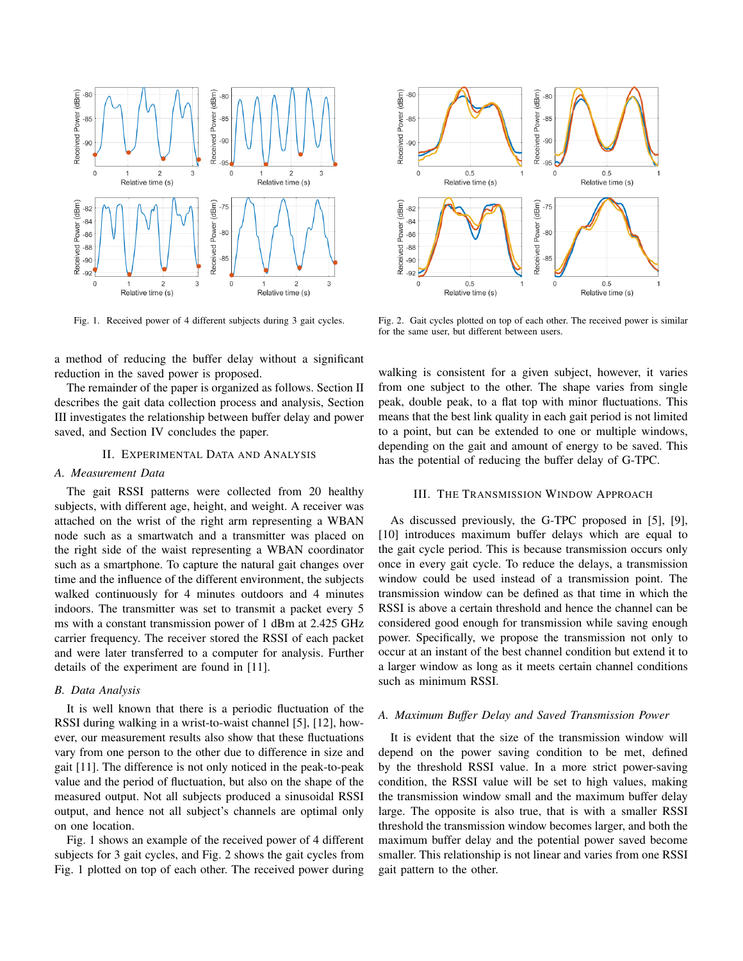

Fig. 1. Received power of 4 different subjects during 3 gait cycles.

a method of reducing the buffer delay without a significant reduction in the saved power is proposed.

The remainder of the paper is organized as follows. Section II describes the gait data collection process and analysis, Section III investigates the relationship between buffer delay and power saved, and Section IV concludes the paper.

#### II. EXPERIMENTAL DATA AND ANALYSIS

## *A. Measurement Data*

The gait RSSI patterns were collected from 20 healthy subjects, with different age, height, and weight. A receiver was attached on the wrist of the right arm representing a WBAN node such as a smartwatch and a transmitter was placed on the right side of the waist representing a WBAN coordinator such as a smartphone. To capture the natural gait changes over time and the influence of the different environment, the subjects walked continuously for 4 minutes outdoors and 4 minutes indoors. The transmitter was set to transmit a packet every 5 ms with a constant transmission power of 1 dBm at 2.425 GHz carrier frequency. The receiver stored the RSSI of each packet and were later transferred to a computer for analysis. Further details of the experiment are found in [11].

#### *B. Data Analysis*

It is well known that there is a periodic fluctuation of the RSSI during walking in a wrist-to-waist channel [5], [12], however, our measurement results also show that these fluctuations vary from one person to the other due to difference in size and gait [11]. The difference is not only noticed in the peak-to-peak value and the period of fluctuation, but also on the shape of the measured output. Not all subjects produced a sinusoidal RSSI output, and hence not all subject's channels are optimal only on one location.

Fig. 1 shows an example of the received power of 4 different subjects for 3 gait cycles, and Fig. 2 shows the gait cycles from Fig. 1 plotted on top of each other. The received power during



Fig. 2. Gait cycles plotted on top of each other. The received power is similar for the same user, but different between users.

walking is consistent for a given subject, however, it varies from one subject to the other. The shape varies from single peak, double peak, to a flat top with minor fluctuations. This means that the best link quality in each gait period is not limited to a point, but can be extended to one or multiple windows, depending on the gait and amount of energy to be saved. This has the potential of reducing the buffer delay of G-TPC.

## III. THE TRANSMISSION WINDOW APPROACH

As discussed previously, the G-TPC proposed in [5], [9], [10] introduces maximum buffer delays which are equal to the gait cycle period. This is because transmission occurs only once in every gait cycle. To reduce the delays, a transmission window could be used instead of a transmission point. The transmission window can be defined as that time in which the RSSI is above a certain threshold and hence the channel can be considered good enough for transmission while saving enough power. Specifically, we propose the transmission not only to occur at an instant of the best channel condition but extend it to a larger window as long as it meets certain channel conditions such as minimum RSSI.

### *A. Maximum Buffer Delay and Saved Transmission Power*

It is evident that the size of the transmission window will depend on the power saving condition to be met, defined by the threshold RSSI value. In a more strict power-saving condition, the RSSI value will be set to high values, making the transmission window small and the maximum buffer delay large. The opposite is also true, that is with a smaller RSSI threshold the transmission window becomes larger, and both the maximum buffer delay and the potential power saved become smaller. This relationship is not linear and varies from one RSSI gait pattern to the other.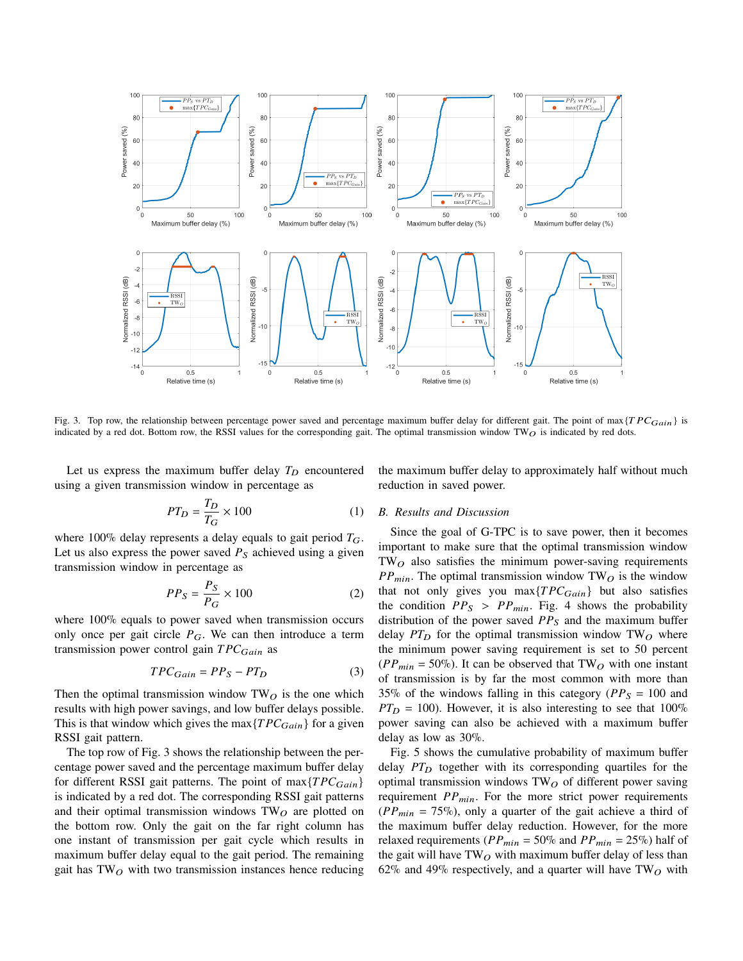

Fig. 3. Top row, the relationship between percentage power saved and percentage maximum buffer delay for different gait. The point of max ${TPC}_{Gain}$  is indicated by a red dot. Bottom row, the RSSI values for the corresponding gait. The optimal transmission window TW $\overline{O}$  is indicated by red dots.

Let us express the maximum buffer delay  $T_D$  encountered using a given transmission window in percentage as

$$
PT_D = \frac{T_D}{T_G} \times 100\tag{1}
$$

where 100% delay represents a delay equals to gait period  $T_G$ . Let us also express the power saved  $P_s$  achieved using a given transmission window in percentage as

$$
PP_S = \frac{P_S}{P_G} \times 100\tag{2}
$$

where 100% equals to power saved when transmission occurs only once per gait circle  $P_G$ . We can then introduce a term transmission power control gain  $TPC_{Gain}$  as

$$
TPC_{Gain} = PP_S - PT_D \tag{3}
$$

Then the optimal transmission window  $TW<sub>O</sub>$  is the one which results with high power savings, and low buffer delays possible. This is that window which gives the max $\{TPC_{Gain}\}$  for a given RSSI gait pattern.

The top row of Fig. 3 shows the relationship between the percentage power saved and the percentage maximum buffer delay for different RSSI gait patterns. The point of max ${TPC_{Gain}}$ is indicated by a red dot. The corresponding RSSI gait patterns and their optimal transmission windows  $TW<sub>O</sub>$  are plotted on the bottom row. Only the gait on the far right column has one instant of transmission per gait cycle which results in maximum buffer delay equal to the gait period. The remaining gait has  $TW<sub>O</sub>$  with two transmission instances hence reducing the maximum buffer delay to approximately half without much reduction in saved power.

## *B. Results and Discussion*

Since the goal of G-TPC is to save power, then it becomes important to make sure that the optimal transmission window  $TW<sub>O</sub>$  also satisfies the minimum power-saving requirements  $PP_{min}$ . The optimal transmission window TW<sub>O</sub> is the window that not only gives you max $\{TPC_{Gain}\}$  but also satisfies the condition  $PP_S > PP_{min}$ . Fig. 4 shows the probability distribution of the power saved  $PP<sub>S</sub>$  and the maximum buffer delay  $PT_D$  for the optimal transmission window TW $_O$  where the minimum power saving requirement is set to 50 percent  $(PP_{min} = 50\%)$ . It can be observed that TW<sub>O</sub> with one instant of transmission is by far the most common with more than 35% of the windows falling in this category ( $PP_S = 100$  and  $PT_D = 100$ ). However, it is also interesting to see that  $100\%$ power saving can also be achieved with a maximum buffer delay as low as 30%.

Fig. 5 shows the cumulative probability of maximum buffer delay  $PT_D$  together with its corresponding quartiles for the optimal transmission windows  $TW_O$  of different power saving requirement  $PP_{min}$ . For the more strict power requirements  $(PP_{min} = 75\%)$ , only a quarter of the gait achieve a third of the maximum buffer delay reduction. However, for the more relaxed requirements ( $PP_{min} = 50\%$  and  $PP_{min} = 25\%$ ) half of the gait will have  $TW_O$  with maximum buffer delay of less than 62% and 49% respectively, and a quarter will have  $TW<sub>O</sub>$  with